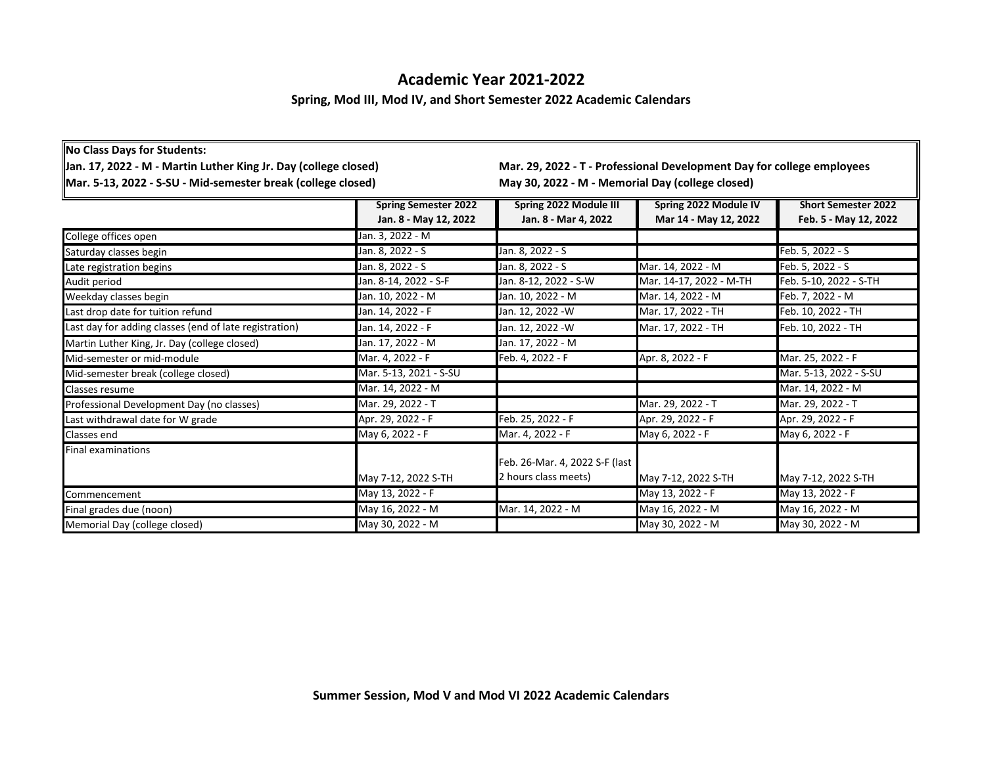## **Academic Year 2021-2022**

## **Spring, Mod III, Mod IV, and Short Semester 2022 Academic Calendars**

| <b>No Class Days for Students:</b>                                                                                              |                        |                                                                                                                            |                         |                        |
|---------------------------------------------------------------------------------------------------------------------------------|------------------------|----------------------------------------------------------------------------------------------------------------------------|-------------------------|------------------------|
| Jan. 17, 2022 - M - Martin Luther King Jr. Day (college closed)<br>Mar. 5-13, 2022 - S-SU - Mid-semester break (college closed) |                        | Mar. 29, 2022 - T - Professional Development Day for college employees<br>May 30, 2022 - M - Memorial Day (college closed) |                         |                        |
|                                                                                                                                 |                        |                                                                                                                            |                         |                        |
| College offices open                                                                                                            | Jan. 3, 2022 - M       |                                                                                                                            |                         |                        |
| Saturday classes begin                                                                                                          | Jan. 8, 2022 - S       | Jan. 8, 2022 - S                                                                                                           |                         | Feb. 5, 2022 - S       |
| Late registration begins                                                                                                        | Jan. 8, 2022 - S       | Jan. 8, 2022 - S                                                                                                           | Mar. 14, 2022 - M       | Feb. 5, 2022 - S       |
| Audit period                                                                                                                    | Jan. 8-14, 2022 - S-F  | Jan. 8-12, 2022 - S-W                                                                                                      | Mar. 14-17, 2022 - M-TH | Feb. 5-10, 2022 - S-TH |
| Weekday classes begin                                                                                                           | Jan. 10, 2022 - M      | Jan. 10, 2022 - M                                                                                                          | Mar. 14, 2022 - M       | Feb. 7, 2022 - M       |
| Last drop date for tuition refund                                                                                               | Jan. 14, 2022 - F      | Jan. 12, 2022 - W                                                                                                          | Mar. 17, 2022 - TH      | Feb. 10, 2022 - TH     |
| Last day for adding classes (end of late registration)                                                                          | Jan. 14, 2022 - F      | Jan. 12, 2022 -W                                                                                                           | Mar. 17, 2022 - TH      | Feb. 10, 2022 - TH     |
| Martin Luther King, Jr. Day (college closed)                                                                                    | Jan. 17, 2022 - M      | Jan. 17, 2022 - M                                                                                                          |                         |                        |
| Mid-semester or mid-module                                                                                                      | Mar. 4, 2022 - F       | Feb. 4, 2022 - F                                                                                                           | Apr. 8, 2022 - F        | Mar. 25, 2022 - F      |
| Mid-semester break (college closed)                                                                                             | Mar. 5-13, 2021 - S-SU |                                                                                                                            |                         | Mar. 5-13, 2022 - S-SU |
| Classes resume                                                                                                                  | Mar. 14, 2022 - M      |                                                                                                                            |                         | Mar. 14, 2022 - M      |
| Professional Development Day (no classes)                                                                                       | Mar. 29, 2022 - T      |                                                                                                                            | Mar. 29, 2022 - T       | Mar. 29, 2022 - T      |
| Last withdrawal date for W grade                                                                                                | Apr. 29, 2022 - F      | Feb. 25, 2022 - F                                                                                                          | Apr. 29, 2022 - F       | Apr. 29, 2022 - F      |
| Classes end                                                                                                                     | May 6, 2022 - F        | Mar. 4, 2022 - F                                                                                                           | May 6, 2022 - F         | May 6, 2022 - F        |
| <b>Final examinations</b>                                                                                                       |                        |                                                                                                                            |                         |                        |
|                                                                                                                                 |                        | Feb. 26-Mar. 4, 2022 S-F (last                                                                                             |                         |                        |
|                                                                                                                                 | May 7-12, 2022 S-TH    | 2 hours class meets)                                                                                                       | May 7-12, 2022 S-TH     | May 7-12, 2022 S-TH    |
| Commencement                                                                                                                    | May 13, 2022 - F       |                                                                                                                            | May 13, 2022 - F        | May 13, 2022 - F       |
| Final grades due (noon)                                                                                                         | May 16, 2022 - M       | Mar. 14, 2022 - M                                                                                                          | May 16, 2022 - M        | May 16, 2022 - M       |
| Memorial Day (college closed)                                                                                                   | May 30, 2022 - M       |                                                                                                                            | May 30, 2022 - M        | May 30, 2022 - M       |